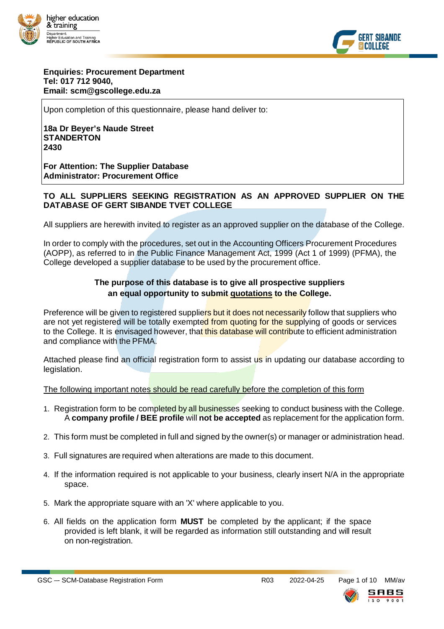



#### **Enquiries: Procurement Department Tel: 017 712 9040, Email: scm@gscollege.edu.za**

Upon completion of this questionnaire, please hand deliver to:

**18a Dr Beyer's Naude Street STANDERTON 2430**

**For Attention: The Supplier Database Administrator: Procurement Office**

#### **TO ALL SUPPLIERS SEEKING REGISTRATION AS AN APPROVED SUPPLIER ON THE DATABASE OF GERT SIBANDE TVET COLLEGE**

All suppliers are herewith invited to register as an approved supplier on the database of the College.

In order to comply with the procedures, set out in the Accounting Officers Procurement Procedures (AOPP), as referred to in the Public Finance Management Act, 1999 (Act 1 of 1999) (PFMA), the College developed a supplier database to be used by the procurement office.

#### **The purpose of this database is to give all prospective suppliers an equal opportunity to submit quotations to the College.**

Preference will be given to registered suppliers but it does not necessarily follow that suppliers who are not yet registered will be totally exempted from quoting for the supplying of goods or services to the College. It is envisaged however, that this database will contribute to efficient administration and compliance with the PFMA.

Attached please find an official registration form to assist us in updating our database according to legislation.

The following important notes should be read carefully before the completion of this form

- 1. Registration form to be completed by all businesses seeking to conduct business with the College. A **company profile / BEE profile** will **not be accepted** as replacement for the application form.
- 2. This form must be completed in full and signed by the owner(s) or manager or administration head.
- 3. Full signatures are required when alterations are made to this document.
- 4. If the information required is not applicable to your business, clearly insert N/A in the appropriate space.
- 5. Mark the appropriate square with an 'X' where applicable to you.
- 6. All fields on the application form **MUST** be completed by the applicant; if the space provided is left blank, it will be regarded as information still outstanding and will result on non-registration.

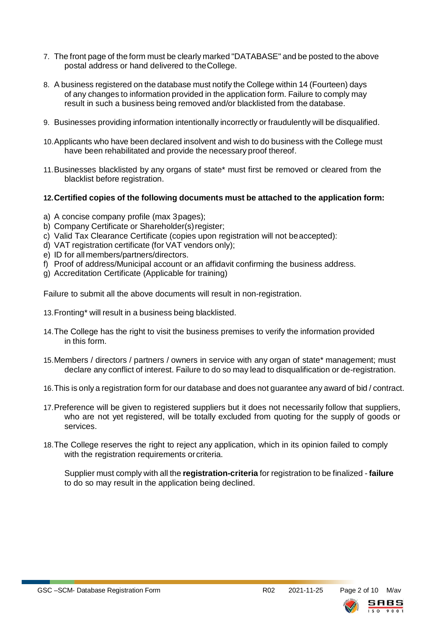- 7. The front page of the form must be clearly marked "DATABASE" and be posted to the above postal address or hand delivered to theCollege.
- 8. A business registered on the database must notify the College within 14 (Fourteen) days of any changes to information provided in the application form. Failure to comply may result in such a business being removed and/or blacklisted from the database.
- 9. Businesses providing information intentionally incorrectly or fraudulently will be disqualified.
- 10.Applicants who have been declared insolvent and wish to do business with the College must have been rehabilitated and provide the necessary proof thereof.
- 11.Businesses blacklisted by any organs of state\* must first be removed or cleared from the blacklist before registration.

### **12.Certified copies of the following documents must be attached to the application form:**

- a) A concise company profile (max 3pages);
- b) Company Certificate or Shareholder(s) register;
- c) Valid Tax Clearance Certificate (copies upon registration will not beaccepted):
- d) VAT registration certificate (for VAT vendors only);
- e) ID for all members/partners/directors.
- f) Proof of address/Municipal account or an affidavit confirming the business address.
- g) Accreditation Certificate (Applicable for training)

Failure to submit all the above documents will result in non-registration.

- 13.Fronting\* will result in a business being blacklisted.
- 14.The College has the right to visit the business premises to verify the information provided in this form.
- 15.Members / directors / partners / owners in service with any organ of state\* management; must declare any conflict of interest. Failure to do so may lead to disqualification or de-registration.
- 16.This is only a registration form for our database and does not guarantee any award of bid / contract.
- 17.Preference will be given to registered suppliers but it does not necessarily follow that suppliers, who are not yet registered, will be totally excluded from quoting for the supply of goods or services.
- 18.The College reserves the right to reject any application, which in its opinion failed to comply with the registration requirements or criteria.

Supplier must comply with all the **registration-criteria** for registration to be finalized - **failure**  to do so may result in the application being declined.

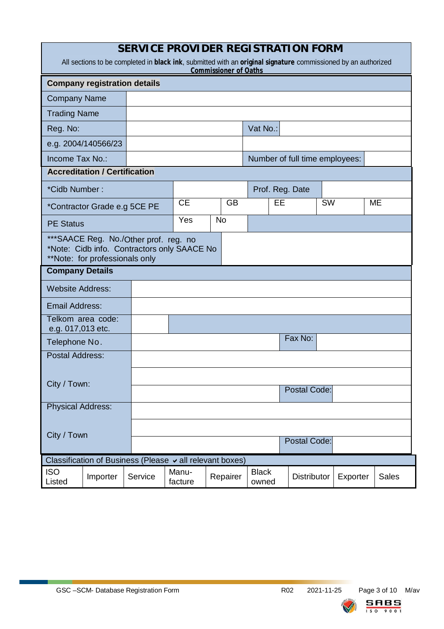| <b>SERVICE PROVIDER REGISTRATION FORM</b>                                                                                                     |                                                                                                                         |         |                  |                                |           |                       |    |                     |           |          |              |
|-----------------------------------------------------------------------------------------------------------------------------------------------|-------------------------------------------------------------------------------------------------------------------------|---------|------------------|--------------------------------|-----------|-----------------------|----|---------------------|-----------|----------|--------------|
| All sections to be completed in black ink, submitted with an original signature commissioned by an authorized<br><b>Commissioner of Oaths</b> |                                                                                                                         |         |                  |                                |           |                       |    |                     |           |          |              |
| <b>Company registration details</b>                                                                                                           |                                                                                                                         |         |                  |                                |           |                       |    |                     |           |          |              |
| <b>Company Name</b>                                                                                                                           |                                                                                                                         |         |                  |                                |           |                       |    |                     |           |          |              |
| <b>Trading Name</b>                                                                                                                           |                                                                                                                         |         |                  |                                |           |                       |    |                     |           |          |              |
| Reg. No:                                                                                                                                      |                                                                                                                         |         |                  |                                | Vat No.:  |                       |    |                     |           |          |              |
|                                                                                                                                               | e.g. 2004/140566/23                                                                                                     |         |                  |                                |           |                       |    |                     |           |          |              |
| Income Tax No.:                                                                                                                               |                                                                                                                         |         |                  | Number of full time employees: |           |                       |    |                     |           |          |              |
|                                                                                                                                               | <b>Accreditation / Certification</b>                                                                                    |         |                  |                                |           |                       |    |                     |           |          |              |
| *Cidb Number:                                                                                                                                 |                                                                                                                         |         |                  |                                |           |                       |    | Prof. Reg. Date     |           |          |              |
|                                                                                                                                               | *Contractor Grade e.g 5CE PE                                                                                            |         | <b>CE</b>        |                                | <b>GB</b> |                       | EE |                     | <b>SW</b> |          | <b>ME</b>    |
| <b>PE Status</b>                                                                                                                              |                                                                                                                         |         | Yes              |                                | <b>No</b> |                       |    |                     |           |          |              |
|                                                                                                                                               | *** SAACE Reg. No./Other prof. reg. no<br>*Note: Cidb info. Contractors only SAACE No<br>**Note: for professionals only |         |                  |                                |           |                       |    |                     |           |          |              |
| <b>Company Details</b>                                                                                                                        |                                                                                                                         |         |                  |                                |           |                       |    |                     |           |          |              |
| <b>Website Address:</b>                                                                                                                       |                                                                                                                         |         |                  |                                |           |                       |    |                     |           |          |              |
| <b>Email Address:</b>                                                                                                                         |                                                                                                                         |         |                  |                                |           |                       |    |                     |           |          |              |
| Telkom area code:                                                                                                                             |                                                                                                                         |         |                  |                                |           |                       |    |                     |           |          |              |
| e.g. 017,013 etc.<br>Telephone No.                                                                                                            |                                                                                                                         |         |                  |                                |           |                       |    | Fax No:             |           |          |              |
| <b>Postal Address:</b>                                                                                                                        |                                                                                                                         |         |                  |                                |           |                       |    |                     |           |          |              |
|                                                                                                                                               |                                                                                                                         |         |                  |                                |           |                       |    |                     |           |          |              |
| City / Town:                                                                                                                                  |                                                                                                                         |         |                  |                                |           |                       |    | <b>Postal Code:</b> |           |          |              |
| <b>Physical Address:</b>                                                                                                                      |                                                                                                                         |         |                  |                                |           |                       |    |                     |           |          |              |
|                                                                                                                                               |                                                                                                                         |         |                  |                                |           |                       |    |                     |           |          |              |
| City / Town                                                                                                                                   |                                                                                                                         |         |                  |                                |           |                       |    |                     |           |          |              |
|                                                                                                                                               |                                                                                                                         |         |                  |                                |           |                       |    | <b>Postal Code:</b> |           |          |              |
| Classification of Business (Please $\vee$ all relevant boxes)                                                                                 |                                                                                                                         |         |                  |                                |           |                       |    |                     |           |          |              |
| <b>ISO</b><br>Listed                                                                                                                          | Importer                                                                                                                | Service | Manu-<br>facture |                                | Repairer  | <b>Black</b><br>owned |    | Distributor         |           | Exporter | <b>Sales</b> |

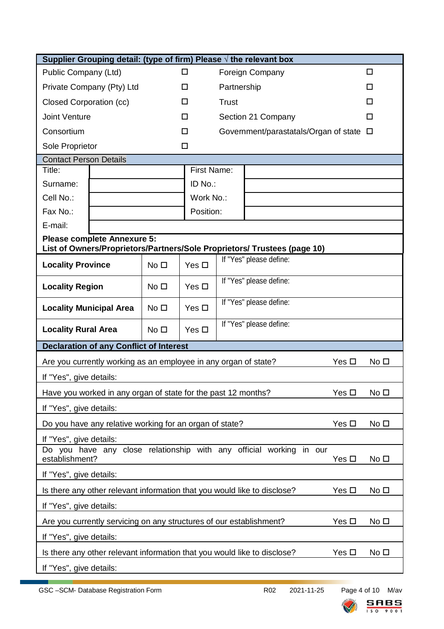| Supplier Grouping detail: (type of firm) Please $\sqrt{ }$ the relevant box                                    |                                                                                             |                 |                                              |                         |  |  |  |  |
|----------------------------------------------------------------------------------------------------------------|---------------------------------------------------------------------------------------------|-----------------|----------------------------------------------|-------------------------|--|--|--|--|
| Public Company (Ltd)                                                                                           | □                                                                                           | Foreign Company | $\Box$                                       |                         |  |  |  |  |
| Private Company (Pty) Ltd                                                                                      | □                                                                                           | Partnership     | П                                            |                         |  |  |  |  |
| Closed Corporation (cc)                                                                                        | □                                                                                           | <b>Trust</b>    | п                                            |                         |  |  |  |  |
| <b>Joint Venture</b>                                                                                           |                                                                                             | □               | Section 21 Company                           | □                       |  |  |  |  |
| Consortium                                                                                                     |                                                                                             | □               | Government/parastatals/Organ of state $\Box$ |                         |  |  |  |  |
| Sole Proprietor                                                                                                |                                                                                             | □               |                                              |                         |  |  |  |  |
| <b>Contact Person Details</b>                                                                                  |                                                                                             |                 |                                              |                         |  |  |  |  |
| Title:                                                                                                         |                                                                                             | First Name:     |                                              |                         |  |  |  |  |
| Surname:                                                                                                       |                                                                                             | ID No.:         |                                              |                         |  |  |  |  |
| Cell No.:                                                                                                      |                                                                                             | Work No.:       |                                              |                         |  |  |  |  |
| Fax No.:                                                                                                       |                                                                                             | Position:       |                                              |                         |  |  |  |  |
| E-mail:                                                                                                        |                                                                                             |                 |                                              |                         |  |  |  |  |
| <b>Please complete Annexure 5:</b><br>List of Owners/Proprietors/Partners/Sole Proprietors/ Trustees (page 10) |                                                                                             |                 |                                              |                         |  |  |  |  |
| <b>Locality Province</b>                                                                                       | No <sub>1</sub>                                                                             | Yes $\Box$      |                                              | If "Yes" please define: |  |  |  |  |
|                                                                                                                |                                                                                             |                 |                                              | If "Yes" please define: |  |  |  |  |
| <b>Locality Region</b>                                                                                         | No <sub>1</sub>                                                                             | Yes $\Box$      |                                              |                         |  |  |  |  |
| <b>Locality Municipal Area</b>                                                                                 | No <sub>1</sub>                                                                             | Yes $\Box$      |                                              | If "Yes" please define: |  |  |  |  |
| <b>Locality Rural Area</b><br>No <sub>1</sub>                                                                  |                                                                                             | Yes $\Box$      | If "Yes" please define:                      |                         |  |  |  |  |
| <b>Declaration of any Conflict of Interest</b>                                                                 |                                                                                             |                 |                                              |                         |  |  |  |  |
| Are you currently working as an employee in any organ of state?<br>Yes $\Box$<br>No <sub>D</sub>               |                                                                                             |                 |                                              |                         |  |  |  |  |
| If "Yes", give details:                                                                                        |                                                                                             |                 |                                              |                         |  |  |  |  |
| Yes □<br>No <sub>1</sub><br>Have you worked in any organ of state for the past 12 months?                      |                                                                                             |                 |                                              |                         |  |  |  |  |
| If "Yes", give details:                                                                                        |                                                                                             |                 |                                              |                         |  |  |  |  |
|                                                                                                                | Yes $\square$<br>No <sub>1</sub><br>Do you have any relative working for an organ of state? |                 |                                              |                         |  |  |  |  |
| If "Yes", give details:                                                                                        |                                                                                             |                 |                                              |                         |  |  |  |  |
| Do you have any close relationship with any official working in our                                            |                                                                                             |                 |                                              |                         |  |  |  |  |
| establishment?<br>Yes $\square$<br>No <sub>D</sub>                                                             |                                                                                             |                 |                                              |                         |  |  |  |  |
| If "Yes", give details:                                                                                        |                                                                                             |                 |                                              |                         |  |  |  |  |
| No <sub>1</sub><br>Is there any other relevant information that you would like to disclose?<br>Yes $\square$   |                                                                                             |                 |                                              |                         |  |  |  |  |
| If "Yes", give details:                                                                                        |                                                                                             |                 |                                              |                         |  |  |  |  |
| Are you currently servicing on any structures of our establishment?<br>Yes $\square$<br>No <sub>1</sub>        |                                                                                             |                 |                                              |                         |  |  |  |  |
| If "Yes", give details:                                                                                        |                                                                                             |                 |                                              |                         |  |  |  |  |
| Is there any other relevant information that you would like to disclose?<br>No <sub>1</sub><br>Yes $\Box$      |                                                                                             |                 |                                              |                         |  |  |  |  |
| If "Yes", give details:                                                                                        |                                                                                             |                 |                                              |                         |  |  |  |  |

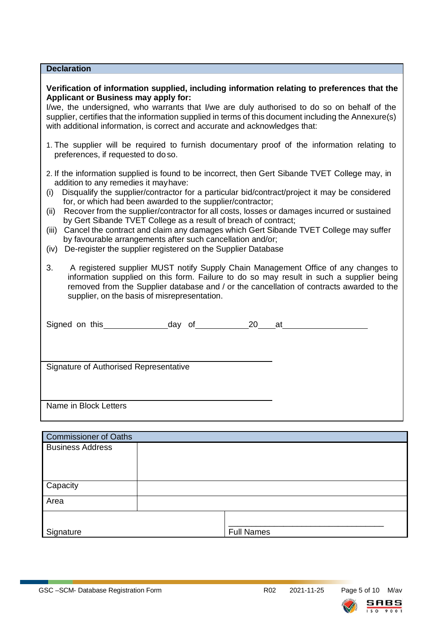| <b>Declaration</b>                                                                                                                                                                                                                                                                                                                                                                                                                                                                                                                                                                                                                                                                                                                                                                                                                                                                                                                                                                                                                                                 |  |  |  |  |  |  |
|--------------------------------------------------------------------------------------------------------------------------------------------------------------------------------------------------------------------------------------------------------------------------------------------------------------------------------------------------------------------------------------------------------------------------------------------------------------------------------------------------------------------------------------------------------------------------------------------------------------------------------------------------------------------------------------------------------------------------------------------------------------------------------------------------------------------------------------------------------------------------------------------------------------------------------------------------------------------------------------------------------------------------------------------------------------------|--|--|--|--|--|--|
| Verification of information supplied, including information relating to preferences that the<br>Applicant or Business may apply for:<br>I/we, the undersigned, who warrants that I/we are duly authorised to do so on behalf of the<br>supplier, certifies that the information supplied in terms of this document including the Annexure(s)<br>with additional information, is correct and accurate and acknowledges that:                                                                                                                                                                                                                                                                                                                                                                                                                                                                                                                                                                                                                                        |  |  |  |  |  |  |
| 1. The supplier will be required to furnish documentary proof of the information relating to<br>preferences, if requested to doso.                                                                                                                                                                                                                                                                                                                                                                                                                                                                                                                                                                                                                                                                                                                                                                                                                                                                                                                                 |  |  |  |  |  |  |
| 2. If the information supplied is found to be incorrect, then Gert Sibande TVET College may, in<br>addition to any remedies it may have:<br>Disqualify the supplier/contractor for a particular bid/contract/project it may be considered<br>(i)<br>for, or which had been awarded to the supplier/contractor;<br>Recover from the supplier/contractor for all costs, losses or damages incurred or sustained<br>(ii)<br>by Gert Sibande TVET College as a result of breach of contract;<br>Cancel the contract and claim any damages which Gert Sibande TVET College may suffer<br>(iii)<br>by favourable arrangements after such cancellation and/or;<br>De-register the supplier registered on the Supplier Database<br>(iv)<br>3.<br>A registered supplier MUST notify Supply Chain Management Office of any changes to<br>information supplied on this form. Failure to do so may result in such a supplier being<br>removed from the Supplier database and / or the cancellation of contracts awarded to the<br>supplier, on the basis of misrepresentation. |  |  |  |  |  |  |
|                                                                                                                                                                                                                                                                                                                                                                                                                                                                                                                                                                                                                                                                                                                                                                                                                                                                                                                                                                                                                                                                    |  |  |  |  |  |  |
| Signature of Authorised Representative                                                                                                                                                                                                                                                                                                                                                                                                                                                                                                                                                                                                                                                                                                                                                                                                                                                                                                                                                                                                                             |  |  |  |  |  |  |
| Name in Block Letters                                                                                                                                                                                                                                                                                                                                                                                                                                                                                                                                                                                                                                                                                                                                                                                                                                                                                                                                                                                                                                              |  |  |  |  |  |  |
| <b>Commissioner of Oaths</b>                                                                                                                                                                                                                                                                                                                                                                                                                                                                                                                                                                                                                                                                                                                                                                                                                                                                                                                                                                                                                                       |  |  |  |  |  |  |
| <b>Business Address</b>                                                                                                                                                                                                                                                                                                                                                                                                                                                                                                                                                                                                                                                                                                                                                                                                                                                                                                                                                                                                                                            |  |  |  |  |  |  |

| Capacity  |                   |
|-----------|-------------------|
| Area      |                   |
|           |                   |
| Signature | <b>Full Names</b> |

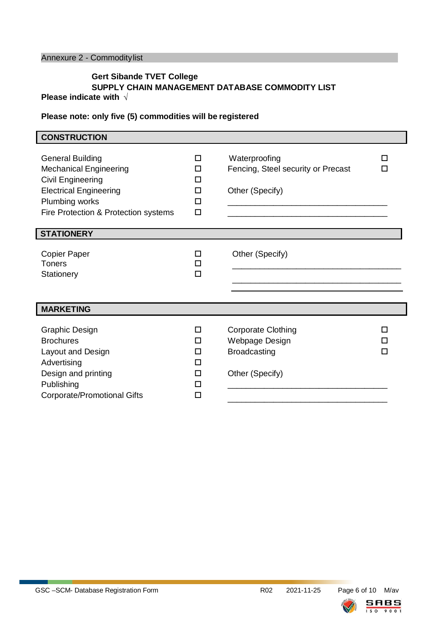## Annexure 2 - Commoditylist

#### **Gert Sibande TVET College SUPPLY CHAIN MANAGEMENT DATABASE COMMODITY LIST Please indicate with √**

#### **Please note: only five (5) commodities will be registered**

| <b>CONSTRUCTION</b>                                                                                                                                                      |                                 |                                                                                       |        |
|--------------------------------------------------------------------------------------------------------------------------------------------------------------------------|---------------------------------|---------------------------------------------------------------------------------------|--------|
| <b>General Building</b><br><b>Mechanical Engineering</b><br>Civil Engineering<br><b>Electrical Engineering</b><br>Plumbing works<br>Fire Protection & Protection systems | п<br>п<br>П<br>п<br>П<br>□      | Waterproofing<br>Fencing, Steel security or Precast<br>Other (Specify)                | П<br>П |
| <b>STATIONERY</b>                                                                                                                                                        |                                 |                                                                                       |        |
| <b>Copier Paper</b><br><b>Toners</b><br>Stationery                                                                                                                       | п<br>п<br>□                     | Other (Specify)                                                                       |        |
| <b>MARKETING</b>                                                                                                                                                         |                                 |                                                                                       |        |
| <b>Graphic Design</b><br><b>Brochures</b><br>Layout and Design<br>Advertising<br>Design and printing<br>Publishing<br>Corporate/Promotional Gifts                        | □<br>п<br>п<br>п<br>п<br>п<br>□ | <b>Corporate Clothing</b><br>Webpage Design<br><b>Broadcasting</b><br>Other (Specify) | п<br>П |

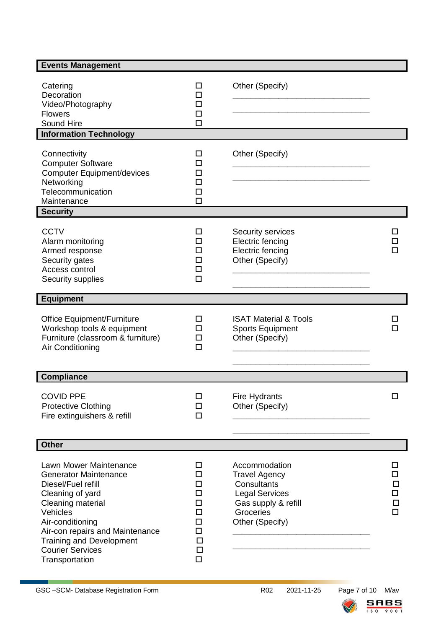| <b>Events Management</b>                                                                                                                                                                                                                                                 |                                                                         |                                                                                                                                      |                            |  |  |  |  |
|--------------------------------------------------------------------------------------------------------------------------------------------------------------------------------------------------------------------------------------------------------------------------|-------------------------------------------------------------------------|--------------------------------------------------------------------------------------------------------------------------------------|----------------------------|--|--|--|--|
| Catering<br>Decoration<br>Video/Photography<br><b>Flowers</b><br>Sound Hire                                                                                                                                                                                              | □<br>П<br>П<br>$\Box$<br>п                                              | Other (Specify)                                                                                                                      |                            |  |  |  |  |
| <b>Information Technology</b>                                                                                                                                                                                                                                            |                                                                         |                                                                                                                                      |                            |  |  |  |  |
| Connectivity<br><b>Computer Software</b><br><b>Computer Equipment/devices</b><br>Networking<br>Telecommunication<br>Maintenance                                                                                                                                          | □<br>П<br>П<br>□<br>□<br>□                                              | Other (Specify)                                                                                                                      |                            |  |  |  |  |
| <b>Security</b>                                                                                                                                                                                                                                                          |                                                                         |                                                                                                                                      |                            |  |  |  |  |
| <b>CCTV</b><br>Alarm monitoring<br>Armed response<br>Security gates<br>Access control<br>Security supplies                                                                                                                                                               | П<br>П<br>□<br>□<br>□                                                   | Security services<br>Electric fencing<br>Electric fencing<br>Other (Specify)                                                         |                            |  |  |  |  |
| <b>Equipment</b>                                                                                                                                                                                                                                                         |                                                                         |                                                                                                                                      |                            |  |  |  |  |
| <b>Office Equipment/Furniture</b><br>Workshop tools & equipment<br>Furniture (classroom & furniture)<br>Air Conditioning                                                                                                                                                 | □<br>□<br>□<br>$\Box$                                                   | <b>ISAT Material &amp; Tools</b><br><b>Sports Equipment</b><br>Other (Specify)                                                       | п                          |  |  |  |  |
| <b>Compliance</b>                                                                                                                                                                                                                                                        |                                                                         |                                                                                                                                      |                            |  |  |  |  |
| <b>COVID PPE</b><br><b>Protective Clothing</b><br>Fire extinguishers & refill                                                                                                                                                                                            | $\Box$<br>□<br>$\Box$                                                   | Fire Hydrants<br>Other (Specify)                                                                                                     | □                          |  |  |  |  |
| <b>Other</b>                                                                                                                                                                                                                                                             |                                                                         |                                                                                                                                      |                            |  |  |  |  |
| Lawn Mower Maintenance<br><b>Generator Maintenance</b><br>Diesel/Fuel refill<br>Cleaning of yard<br>Cleaning material<br>Vehicles<br>Air-conditioning<br>Air-con repairs and Maintenance<br><b>Training and Development</b><br><b>Courier Services</b><br>Transportation | □<br>$\Box$<br>$\Box$<br>□<br>□<br>□<br>$\Box$<br>□<br>□<br>□<br>$\Box$ | Accommodation<br><b>Travel Agency</b><br>Consultants<br><b>Legal Services</b><br>Gas supply & refill<br>Groceries<br>Other (Specify) | П<br>п<br>$\Box$<br>□<br>□ |  |  |  |  |

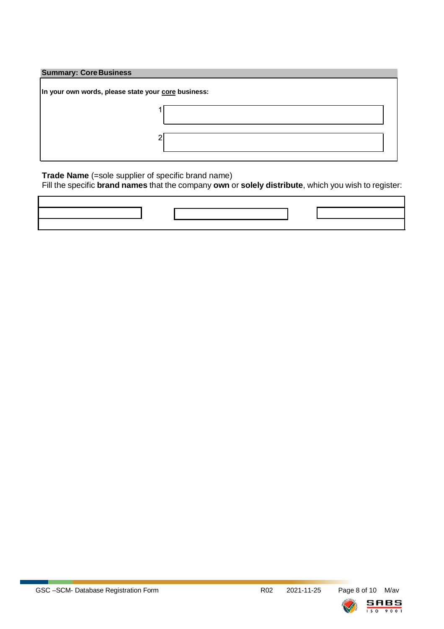#### **Summary: CoreBusiness**

| In your own words, please state your core business: |  |  |  |  |  |  |
|-----------------------------------------------------|--|--|--|--|--|--|
|                                                     |  |  |  |  |  |  |
|                                                     |  |  |  |  |  |  |
|                                                     |  |  |  |  |  |  |

**Trade Name** (=sole supplier of specific brand name)

Fill the specific **brand names** that the company **own** or **solely distribute**, which you wish to register:



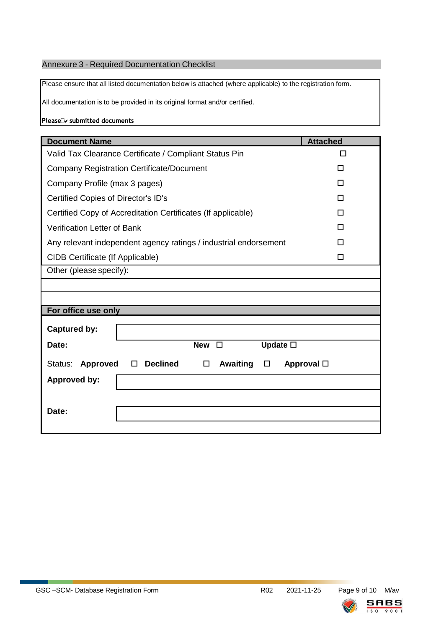## Annexure 3 - Required Documentation Checklist

Please ensure that all listed documentation below is attached (where applicable) to the registration form.

All documentation is to be provided in its original format and/or certified.

Please<sup>1</sup> submitted documents

| <b>Document Name</b>                                                     | <b>Attached</b> |
|--------------------------------------------------------------------------|-----------------|
| Valid Tax Clearance Certificate / Compliant Status Pin                   | П               |
| <b>Company Registration Certificate/Document</b>                         | П               |
| Company Profile (max 3 pages)                                            | П               |
| Certified Copies of Director's ID's                                      | П               |
| Certified Copy of Accreditation Certificates (If applicable)             | П               |
| <b>Verification Letter of Bank</b>                                       | П               |
| Any relevant independent agency ratings / industrial endorsement         |                 |
| CIDB Certificate (If Applicable)                                         | П               |
| Other (please specify):                                                  |                 |
|                                                                          |                 |
|                                                                          |                 |
| For office use only                                                      |                 |
| <b>Captured by:</b>                                                      |                 |
| <b>New</b><br>Update $\square$<br>Date:<br>$\Box$                        |                 |
| <b>Declined</b><br><b>Awaiting</b><br>Status:<br>Approved<br>□<br>□<br>□ | Approval $\Box$ |
| <b>Approved by:</b>                                                      |                 |
|                                                                          |                 |
| Date:                                                                    |                 |
|                                                                          |                 |